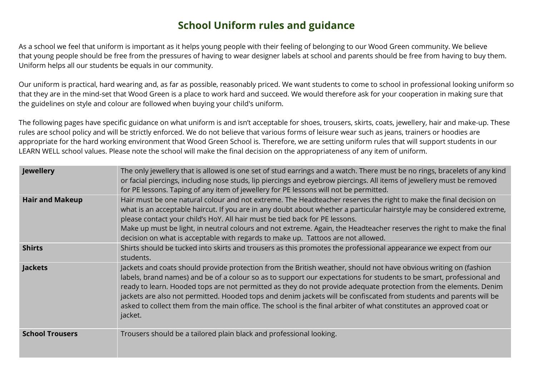## **School Uniform rules and guidance**

As a school we feel that uniform is important as it helps young people with their feeling of belonging to our Wood Green community. We believe that young people should be free from the pressures of having to wear designer labels at school and parents should be free from having to buy them. Uniform helps all our students be equals in our community.

Our uniform is practical, hard wearing and, as far as possible, reasonably priced. We want students to come to school in professional looking uniform so that they are in the mind-set that Wood Green is a place to work hard and succeed. We would therefore ask for your cooperation in making sure that the guidelines on style and colour are followed when buying your child's uniform.

The following pages have specific guidance on what uniform is and isn't acceptable for shoes, trousers, skirts, coats, jewellery, hair and make-up. These rules are school policy and will be strictly enforced. We do not believe that various forms of leisure wear such as jeans, trainers or hoodies are appropriate for the hard working environment that Wood Green School is. Therefore, we are setting uniform rules that will support students in our LEARN WELL school values. Please note the school will make the final decision on the appropriateness of any item of uniform.

| <b>Jewellery</b>       | The only jewellery that is allowed is one set of stud earrings and a watch. There must be no rings, bracelets of any kind<br>or facial piercings, including nose studs, lip piercings and eyebrow piercings. All items of jewellery must be removed<br>for PE lessons. Taping of any item of jewellery for PE lessons will not be permitted.                                                                                                                                                                                                                                                                            |
|------------------------|-------------------------------------------------------------------------------------------------------------------------------------------------------------------------------------------------------------------------------------------------------------------------------------------------------------------------------------------------------------------------------------------------------------------------------------------------------------------------------------------------------------------------------------------------------------------------------------------------------------------------|
| <b>Hair and Makeup</b> | Hair must be one natural colour and not extreme. The Headteacher reserves the right to make the final decision on<br>what is an acceptable haircut. If you are in any doubt about whether a particular hairstyle may be considered extreme,<br>please contact your child's HoY. All hair must be tied back for PE lessons.<br>Make up must be light, in neutral colours and not extreme. Again, the Headteacher reserves the right to make the final<br>decision on what is acceptable with regards to make up. Tattoos are not allowed.                                                                                |
| <b>Shirts</b>          | Shirts should be tucked into skirts and trousers as this promotes the professional appearance we expect from our<br>students.                                                                                                                                                                                                                                                                                                                                                                                                                                                                                           |
| <b>Jackets</b>         | Jackets and coats should provide protection from the British weather, should not have obvious writing on (fashion<br>labels, brand names) and be of a colour so as to support our expectations for students to be smart, professional and<br>ready to learn. Hooded tops are not permitted as they do not provide adequate protection from the elements. Denim<br>jackets are also not permitted. Hooded tops and denim jackets will be confiscated from students and parents will be<br>asked to collect them from the main office. The school is the final arbiter of what constitutes an approved coat or<br>jacket. |
| <b>School Trousers</b> | Trousers should be a tailored plain black and professional looking.                                                                                                                                                                                                                                                                                                                                                                                                                                                                                                                                                     |